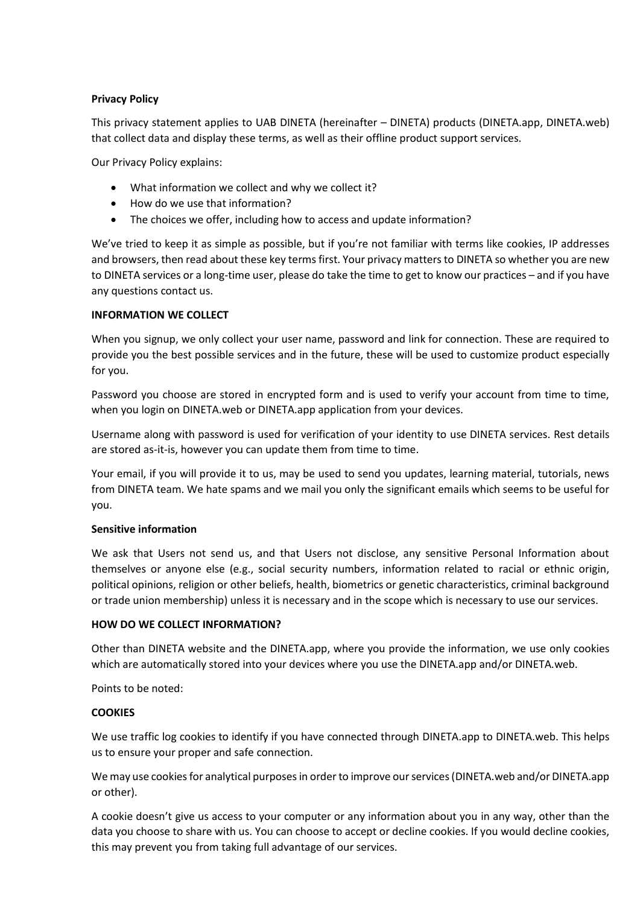# **Privacy Policy**

This privacy statement applies to UAB DINETA (hereinafter – DINETA) products (DINETA.app, DINETA.web) that collect data and display these terms, as well as their offline product support services.

Our Privacy Policy explains:

- What information we collect and why we collect it?
- How do we use that information?
- The choices we offer, including how to access and update information?

We've tried to keep it as simple as possible, but if you're not familiar with terms like cookies, IP addresses and browsers, then read about these key terms first. Your privacy matters to DINETA so whether you are new to DINETA services or a long-time user, please do take the time to get to know our practices – and if you have any questions contact us.

# **INFORMATION WE COLLECT**

When you signup, we only collect your user name, password and link for connection. These are required to provide you the best possible services and in the future, these will be used to customize product especially for you.

Password you choose are stored in encrypted form and is used to verify your account from time to time, when you login on DINETA.web or DINETA.app application from your devices.

Username along with password is used for verification of your identity to use DINETA services. Rest details are stored as-it-is, however you can update them from time to time.

Your email, if you will provide it to us, may be used to send you updates, learning material, tutorials, news from DINETA team. We hate spams and we mail you only the significant emails which seems to be useful for you.

## **Sensitive information**

We ask that Users not send us, and that Users not disclose, any sensitive Personal Information about themselves or anyone else (e.g., social security numbers, information related to racial or ethnic origin, political opinions, religion or other beliefs, health, biometrics or genetic characteristics, criminal background or trade union membership) unless it is necessary and in the scope which is necessary to use our services.

## **HOW DO WE COLLECT INFORMATION?**

Other than DINETA website and the DINETA.app, where you provide the information, we use only cookies which are automatically stored into your devices where you use the DINETA.app and/or DINETA.web.

Points to be noted:

## **COOKIES**

We use traffic log cookies to identify if you have connected through DINETA.app to DINETA.web. This helps us to ensure your proper and safe connection.

We may use cookies for analytical purposes in order to improve our services (DINETA.web and/or DINETA.app or other).

A cookie doesn't give us access to your computer or any information about you in any way, other than the data you choose to share with us. You can choose to accept or decline cookies. If you would decline cookies, this may prevent you from taking full advantage of our services.